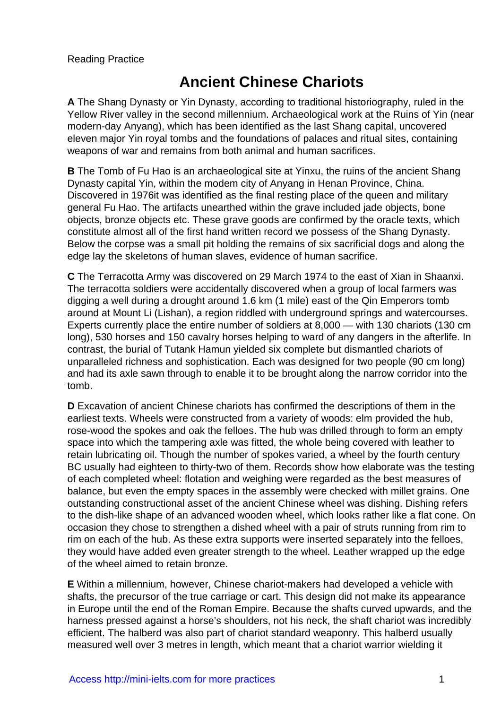# **Ancient Chinese Chariots**

**A** The Shang Dynasty or Yin Dynasty, according to traditional historiography, ruled in the Yellow River valley in the second millennium. Archaeological work at the Ruins of Yin (near modern-day Anyang), which has been identified as the last Shang capital, uncovered eleven major Yin royal tombs and the foundations of palaces and ritual sites, containing weapons of war and remains from both animal and human sacrifices.

**B** The Tomb of Fu Hao is an archaeological site at Yinxu, the ruins of the ancient Shang Dynasty capital Yin, within the modem city of Anyang in Henan Province, China. Discovered in 1976it was identified as the final resting place of the queen and military general Fu Hao. The artifacts unearthed within the grave included jade objects, bone objects, bronze objects etc. These grave goods are confirmed by the oracle texts, which constitute almost all of the first hand written record we possess of the Shang Dynasty. Below the corpse was a small pit holding the remains of six sacrificial dogs and along the edge lay the skeletons of human slaves, evidence of human sacrifice.

**C** The Terracotta Army was discovered on 29 March 1974 to the east of Xian in Shaanxi. The terracotta soldiers were accidentally discovered when a group of local farmers was digging a well during a drought around 1.6 km (1 mile) east of the Qin Emperors tomb around at Mount Li (Lishan), a region riddled with underground springs and watercourses. Experts currently place the entire number of soldiers at 8,000 — with 130 chariots (130 cm long), 530 horses and 150 cavalry horses helping to ward of any dangers in the afterlife. In contrast, the burial of Tutank Hamun yielded six complete but dismantled chariots of unparalleled richness and sophistication. Each was designed for two people (90 cm long) and had its axle sawn through to enable it to be brought along the narrow corridor into the tomb.

**D** Excavation of ancient Chinese chariots has confirmed the descriptions of them in the earliest texts. Wheels were constructed from a variety of woods: elm provided the hub, rose-wood the spokes and oak the felloes. The hub was drilled through to form an empty space into which the tampering axle was fitted, the whole being covered with leather to retain lubricating oil. Though the number of spokes varied, a wheel by the fourth century BC usually had eighteen to thirty-two of them. Records show how elaborate was the testing of each completed wheel: flotation and weighing were regarded as the best measures of balance, but even the empty spaces in the assembly were checked with millet grains. One outstanding constructional asset of the ancient Chinese wheel was dishing. Dishing refers to the dish-like shape of an advanced wooden wheel, which looks rather like a flat cone. On occasion they chose to strengthen a dished wheel with a pair of struts running from rim to rim on each of the hub. As these extra supports were inserted separately into the felloes, they would have added even greater strength to the wheel. Leather wrapped up the edge of the wheel aimed to retain bronze.

**E** Within a millennium, however, Chinese chariot-makers had developed a vehicle with shafts, the precursor of the true carriage or cart. This design did not make its appearance in Europe until the end of the Roman Empire. Because the shafts curved upwards, and the harness pressed against a horse's shoulders, not his neck, the shaft chariot was incredibly efficient. The halberd was also part of chariot standard weaponry. This halberd usually measured well over 3 metres in length, which meant that a chariot warrior wielding it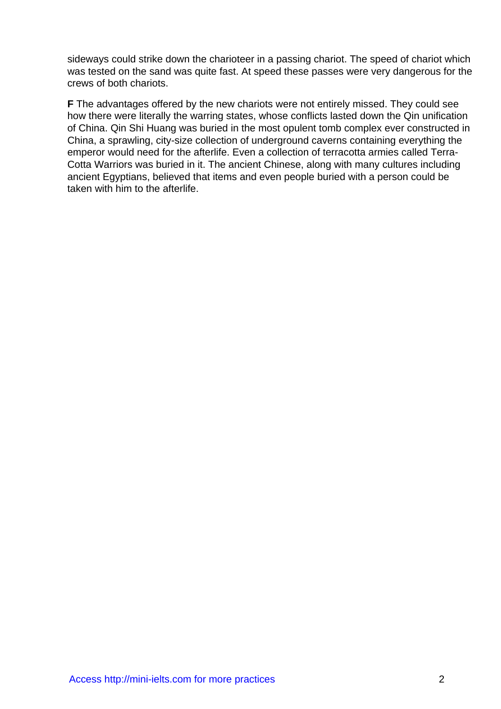sideways could strike down the charioteer in a passing chariot. The speed of chariot which was tested on the sand was quite fast. At speed these passes were very dangerous for the crews of both chariots.

**F** The advantages offered by the new chariots were not entirely missed. They could see how there were literally the warring states, whose conflicts lasted down the Qin unification of China. Qin Shi Huang was buried in the most opulent tomb complex ever constructed in China, a sprawling, city-size collection of underground caverns containing everything the emperor would need for the afterlife. Even a collection of terracotta armies called Terra-Cotta Warriors was buried in it. The ancient Chinese, along with many cultures including ancient Egyptians, believed that items and even people buried with a person could be taken with him to the afterlife.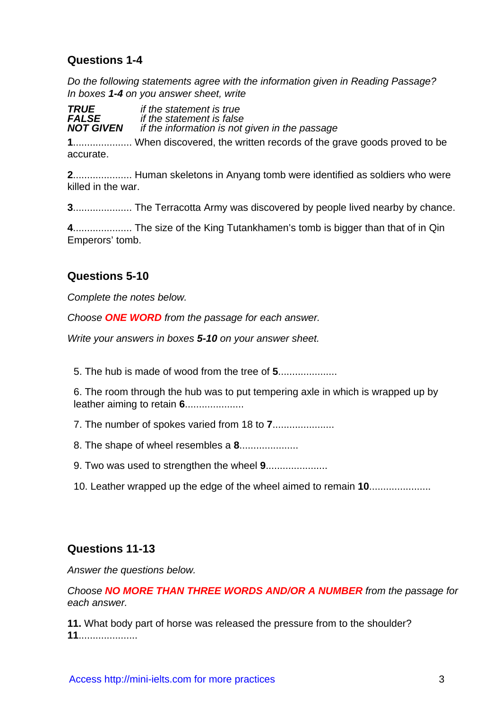### **Questions 1-4**

Do the following statements agree with the information given in Reading Passage? In boxes **1-4** on you answer sheet, write

**TRUE** if the statement is true<br>**FALSE** if the statement is false **FALSE** if the statement is false<br>**NOT GIVEN** if the information is not *if the information is not given in the passage* 

**1**..................... When discovered, the written records of the grave goods proved to be accurate.

**2**..................... Human skeletons in Anyang tomb were identified as soldiers who were killed in the war.

**3**..................... The Terracotta Army was discovered by people lived nearby by chance.

**4**..................... The size of the King Tutankhamen's tomb is bigger than that of in Qin Emperors' tomb.

#### **Questions 5-10**

Complete the notes below.

Choose **ONE WORD** from the passage for each answer.

Write your answers in boxes **5-10** on your answer sheet.

5. The hub is made of wood from the tree of **5**.....................

6. The room through the hub was to put tempering axle in which is wrapped up by leather aiming to retain **6**.....................

7. The number of spokes varied from 18 to **7**......................

8. The shape of wheel resembles a **8**.....................

9. Two was used to strengthen the wheel **9**......................

10. Leather wrapped up the edge of the wheel aimed to remain **10**......................

#### **Questions 11-13**

Answer the questions below.

Choose **NO MORE THAN THREE WORDS AND/OR A NUMBER** from the passage for each answer.

**11.** What body part of horse was released the pressure from to the shoulder? **11**.....................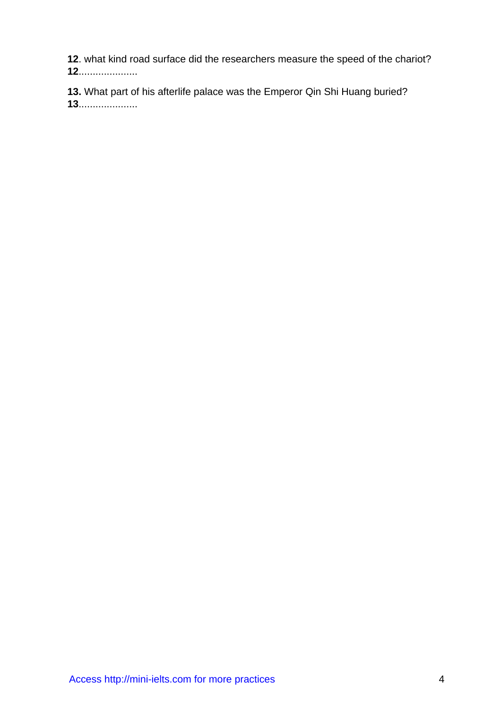**12**. what kind road surface did the researchers measure the speed of the chariot?

**12**.....................

**13.** What part of his afterlife palace was the Emperor Qin Shi Huang buried? **13**.....................